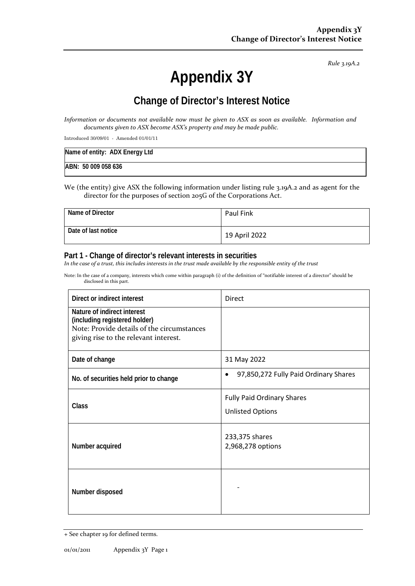*Rule 3.19A.2*

# **Appendix 3Y**

## **Change of Director's Interest Notice**

*Information or documents not available now must be given to ASX as soon as available. Information and documents given to ASX become ASX's property and may be made public.*

Introduced 30/09/01 - Amended 01/01/11

| Name of entity: ADX Energy Ltd |  |
|--------------------------------|--|
| ABN: 50 009 058 636            |  |

We (the entity) give ASX the following information under listing rule 3.19A.2 and as agent for the director for the purposes of section 205G of the Corporations Act.

| Name of Director    | Paul Fink     |
|---------------------|---------------|
| Date of last notice | 19 April 2022 |

#### **Part 1 - Change of director's relevant interests in securities**

*In the case of a trust, this includes interests in the trust made available by the responsible entity of the trust*

Note: In the case of a company, interests which come within paragraph (i) of the definition of "notifiable interest of a director" should be disclosed in this part.

| Direct or indirect interest                                                                                                                         | <b>Direct</b>                                                |
|-----------------------------------------------------------------------------------------------------------------------------------------------------|--------------------------------------------------------------|
| Nature of indirect interest<br>(including registered holder)<br>Note: Provide details of the circumstances<br>giving rise to the relevant interest. |                                                              |
| Date of change                                                                                                                                      | 31 May 2022                                                  |
| No. of securities held prior to change                                                                                                              | 97,850,272 Fully Paid Ordinary Shares<br>٠                   |
| Class                                                                                                                                               | <b>Fully Paid Ordinary Shares</b><br><b>Unlisted Options</b> |
| Number acquired                                                                                                                                     | 233,375 shares<br>2,968,278 options                          |
| Number disposed                                                                                                                                     |                                                              |

<sup>+</sup> See chapter 19 for defined terms.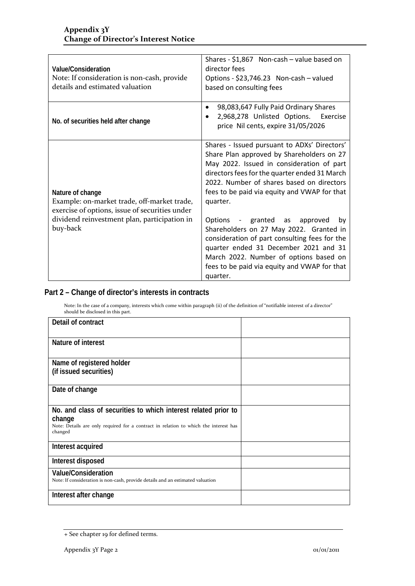| Value/Consideration<br>Note: If consideration is non-cash, provide<br>details and estimated valuation                                                                         | Shares - \$1,867 Non-cash - value based on<br>director fees<br>Options - \$23,746.23 Non-cash - valued<br>based on consulting fees                                                                                                                                                                                                                                                                                                                                                                                                                                                 |
|-------------------------------------------------------------------------------------------------------------------------------------------------------------------------------|------------------------------------------------------------------------------------------------------------------------------------------------------------------------------------------------------------------------------------------------------------------------------------------------------------------------------------------------------------------------------------------------------------------------------------------------------------------------------------------------------------------------------------------------------------------------------------|
| No. of securities held after change                                                                                                                                           | 98,083,647 Fully Paid Ordinary Shares<br>٠<br>2,968,278 Unlisted Options. Exercise<br>٠<br>price Nil cents, expire 31/05/2026                                                                                                                                                                                                                                                                                                                                                                                                                                                      |
| Nature of change<br>Example: on-market trade, off-market trade,<br>exercise of options, issue of securities under<br>dividend reinvestment plan, participation in<br>buy-back | Shares - Issued pursuant to ADXs' Directors'<br>Share Plan approved by Shareholders on 27<br>May 2022. Issued in consideration of part<br>directors fees for the quarter ended 31 March<br>2022. Number of shares based on directors<br>fees to be paid via equity and VWAP for that<br>quarter.<br>Options - granted as approved<br>bv<br>Shareholders on 27 May 2022. Granted in<br>consideration of part consulting fees for the<br>quarter ended 31 December 2021 and 31<br>March 2022. Number of options based on<br>fees to be paid via equity and VWAP for that<br>quarter. |

### **Part 2 – Change of director's interests in contracts**

Note: In the case of a company, interests which come within paragraph (ii) of the definition of "notifiable interest of a director" should be disclosed in this part.

| Detail of contract                                                                                                                                                          |  |
|-----------------------------------------------------------------------------------------------------------------------------------------------------------------------------|--|
| Nature of interest                                                                                                                                                          |  |
| Name of registered holder<br>(if issued securities)                                                                                                                         |  |
| Date of change                                                                                                                                                              |  |
| No. and class of securities to which interest related prior to<br>change<br>Note: Details are only required for a contract in relation to which the interest has<br>changed |  |
| Interest acquired                                                                                                                                                           |  |
| Interest disposed                                                                                                                                                           |  |
| <b>Value/Consideration</b><br>Note: If consideration is non-cash, provide details and an estimated valuation                                                                |  |
| Interest after change                                                                                                                                                       |  |

<sup>+</sup> See chapter 19 for defined terms.